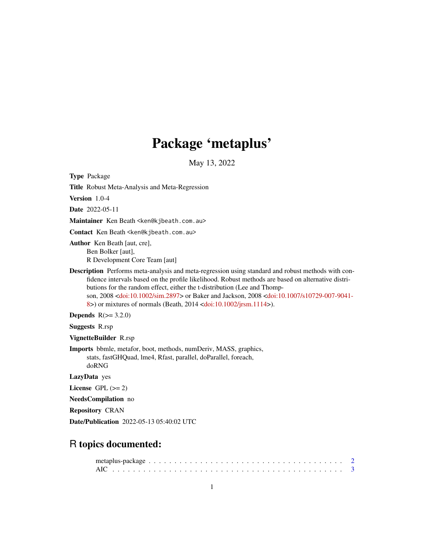# Package 'metaplus'

May 13, 2022

Type Package

Title Robust Meta-Analysis and Meta-Regression

Version 1.0-4

Date 2022-05-11

Maintainer Ken Beath <ken@kjbeath.com.au>

Contact Ken Beath <ken@kjbeath.com.au>

Author Ken Beath [aut, cre], Ben Bolker [aut], R Development Core Team [aut]

Description Performs meta-analysis and meta-regression using standard and robust methods with confidence intervals based on the profile likelihood. Robust methods are based on alternative distributions for the random effect, either the t-distribution (Lee and Thompson, 2008 [<doi:10.1002/sim.2897>](https://doi.org/10.1002/sim.2897) or Baker and Jackson, 2008 [<doi:10.1007/s10729-007-9041-](https://doi.org/10.1007/s10729-007-9041-8) [8>](https://doi.org/10.1007/s10729-007-9041-8)) or mixtures of normals (Beath, 2014 [<doi:10.1002/jrsm.1114>](https://doi.org/10.1002/jrsm.1114)).

Depends  $R(>= 3.2.0)$ 

Suggests R.rsp

VignetteBuilder R.rsp

Imports bbmle, metafor, boot, methods, numDeriv, MASS, graphics, stats, fastGHQuad, lme4, Rfast, parallel, doParallel, foreach, doRNG

LazyData yes

License GPL  $(>= 2)$ 

NeedsCompilation no

Repository CRAN

Date/Publication 2022-05-13 05:40:02 UTC

# R topics documented: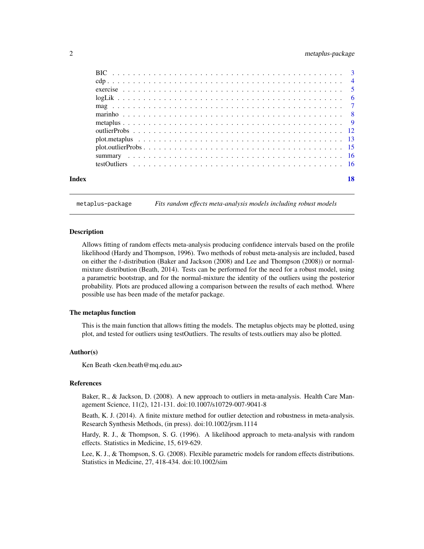# <span id="page-1-0"></span>2 metaplus-package

metaplus-package *Fits random effects meta-analysis models including robust models*

#### Description

Allows fitting of random effects meta-analysis producing confidence intervals based on the profile likelihood (Hardy and Thompson, 1996). Two methods of robust meta-analysis are included, based on either the t-distribution (Baker and Jackson (2008) and Lee and Thompson (2008)) or normalmixture distribution (Beath, 2014). Tests can be performed for the need for a robust model, using a parametric bootstrap, and for the normal-mixture the identity of the outliers using the posterior probability. Plots are produced allowing a comparison between the results of each method. Where possible use has been made of the metafor package.

#### The metaplus function

This is the main function that allows fitting the models. The metaplus objects may be plotted, using plot, and tested for outliers using testOutliers. The results of tests.outliers may also be plotted.

#### Author(s)

Ken Beath <ken.beath@mq.edu.au>

# References

Baker, R., & Jackson, D. (2008). A new approach to outliers in meta-analysis. Health Care Management Science, 11(2), 121-131. doi:10.1007/s10729-007-9041-8

Beath, K. J. (2014). A finite mixture method for outlier detection and robustness in meta-analysis. Research Synthesis Methods, (in press). doi:10.1002/jrsm.1114

Hardy, R. J., & Thompson, S. G. (1996). A likelihood approach to meta-analysis with random effects. Statistics in Medicine, 15, 619-629.

Lee, K. J., & Thompson, S. G. (2008). Flexible parametric models for random effects distributions. Statistics in Medicine, 27, 418-434. doi:10.1002/sim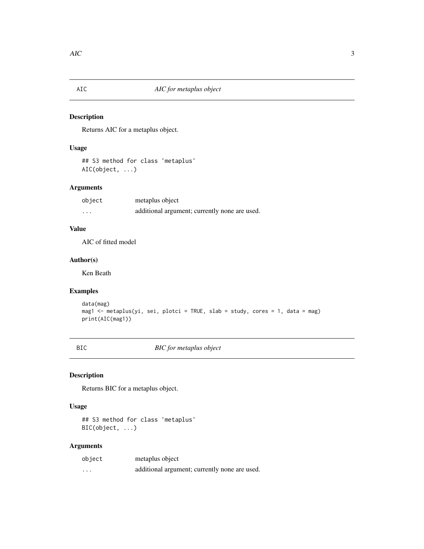<span id="page-2-0"></span>

Returns AIC for a metaplus object.

# Usage

## S3 method for class 'metaplus' AIC(object, ...)

# Arguments

| object | metaplus object                               |
|--------|-----------------------------------------------|
| .      | additional argument; currently none are used. |

# Value

AIC of fitted model

# Author(s)

Ken Beath

# Examples

```
data(mag)
mag1 <- metaplus(yi, sei, plotci = TRUE, slab = study, cores = 1, data = mag)
print(AIC(mag1))
```
BIC *BIC for metaplus object*

# Description

Returns BIC for a metaplus object.

#### Usage

## S3 method for class 'metaplus' BIC(object, ...)

# Arguments

| object | metaplus object                               |
|--------|-----------------------------------------------|
| .      | additional argument; currently none are used. |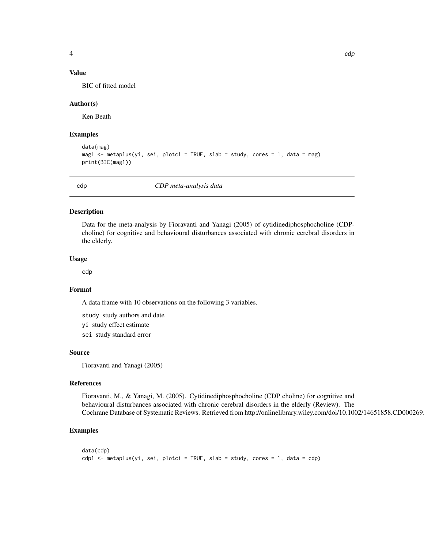# <span id="page-3-0"></span>Value

BIC of fitted model

#### Author(s)

Ken Beath

#### Examples

```
data(mag)
mag1 <- metaplus(yi, sei, plotci = TRUE, slab = study, cores = 1, data = mag)
print(BIC(mag1))
```
cdp *CDP meta-analysis data*

# Description

Data for the meta-analysis by Fioravanti and Yanagi (2005) of cytidinediphosphocholine (CDPcholine) for cognitive and behavioural disturbances associated with chronic cerebral disorders in the elderly.

#### Usage

cdp

#### Format

A data frame with 10 observations on the following 3 variables.

study study authors and date

yi study effect estimate

sei study standard error

#### Source

Fioravanti and Yanagi (2005)

#### References

Fioravanti, M., & Yanagi, M. (2005). Cytidinediphosphocholine (CDP choline) for cognitive and behavioural disturbances associated with chronic cerebral disorders in the elderly (Review). The Cochrane Database of Systematic Reviews. Retrieved from http://onlinelibrary.wiley.com/doi/10.1002/14651858.CD000269

```
data(cdp)
cdp1 <- metaplus(yi, sei, plotci = TRUE, slab = study, cores = 1, data = cdp)
```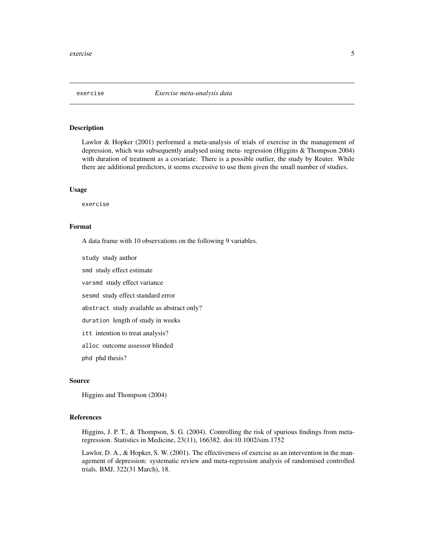<span id="page-4-0"></span>

Lawlor & Hopker (2001) performed a meta-analysis of trials of exercise in the management of depression, which was subsequently analysed using meta- regression (Higgins & Thompson 2004) with duration of treatment as a covariate. There is a possible outlier, the study by Reuter. While there are additional predictors, it seems excessive to use them given the small number of studies.

#### Usage

exercise

#### Format

A data frame with 10 observations on the following 9 variables.

study study author

smd study effect estimate

varsmd study effect variance

sesmd study effect standard error

abstract study available as abstract only?

duration length of study in weeks

itt intention to treat analysis?

alloc outcome assessor blinded

phd phd thesis?

# Source

Higgins and Thompson (2004)

#### References

Higgins, J. P. T., & Thompson, S. G. (2004). Controlling the risk of spurious findings from metaregression. Statistics in Medicine, 23(11), 166382. doi:10.1002/sim.1752

Lawlor, D. A., & Hopker, S. W. (2001). The effectiveness of exercise as an intervention in the management of depression: systematic review and meta-regression analysis of randomised controlled trials. BMJ, 322(31 March), 18.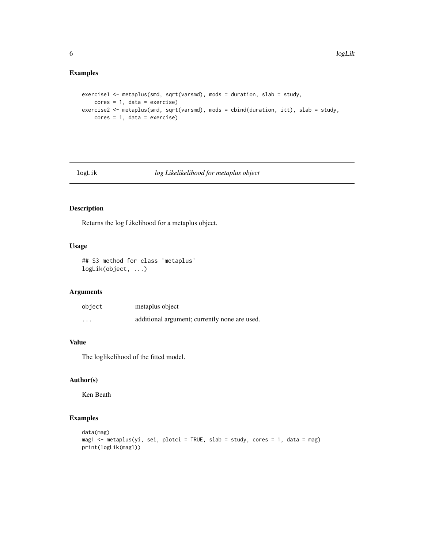# <span id="page-5-0"></span>Examples

```
exercise1 <- metaplus(smd, sqrt(varsmd), mods = duration, slab = study,
   cores = 1, data = exercise)exercise2 <- metaplus(smd, sqrt(varsmd), mods = cbind(duration, itt), slab = study,
   cores = 1, data = exercise)
```
## logLik *log Likelikelihood for metaplus object*

# Description

Returns the log Likelihood for a metaplus object.

# Usage

## S3 method for class 'metaplus' logLik(object, ...)

# Arguments

| object   | metaplus object                               |
|----------|-----------------------------------------------|
| $\cdots$ | additional argument; currently none are used. |

# Value

The loglikelihood of the fitted model.

#### Author(s)

Ken Beath

```
data(mag)
mag1 <- metaplus(yi, sei, plotci = TRUE, slab = study, cores = 1, data = mag)
print(logLik(mag1))
```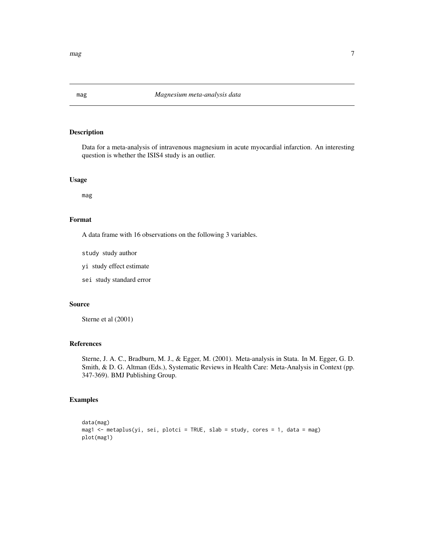Data for a meta-analysis of intravenous magnesium in acute myocardial infarction. An interesting question is whether the ISIS4 study is an outlier.

# Usage

mag

## Format

A data frame with 16 observations on the following 3 variables.

study study author

yi study effect estimate

sei study standard error

# Source

Sterne et al (2001)

### References

Sterne, J. A. C., Bradburn, M. J., & Egger, M. (2001). Meta-analysis in Stata. In M. Egger, G. D. Smith, & D. G. Altman (Eds.), Systematic Reviews in Health Care: Meta-Analysis in Context (pp. 347-369). BMJ Publishing Group.

# Examples

```
data(mag)
mag1 <- metaplus(yi, sei, plotci = TRUE, slab = study, cores = 1, data = mag)
plot(mag1)
```
<span id="page-6-0"></span> $mag$  7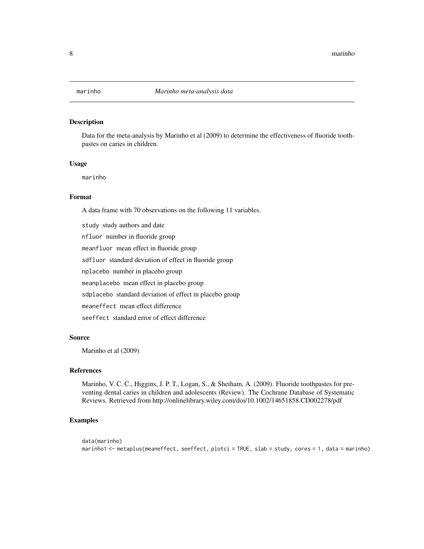<span id="page-7-0"></span>

Data for the meta-analysis by Marinho et al (2009) to determine the effectiveness of fluoride toothpastes on caries in children.

# Usage

marinho

# Format

A data frame with 70 observations on the following 11 variables.

study study authors and date nfluor number in fluoride group meanfluor mean effect in fluoride group sdfluor standard deviation of effect in fluoride group nplacebo number in placebo group meanplacebo mean effect in placebo group sdplacebo standard deviation of effect in placebo group meaneffect mean effect difference seeffect standard error of effect difference

# Source

Marinho et al (2009)

# References

Marinho, V. C. C., Higgins, J. P. T., Logan, S., & Sheiham, A. (2009). Fluoride toothpastes for preventing dental caries in children and adolescents (Review). The Cochrane Database of Systematic Reviews. Retrieved from http://onlinelibrary.wiley.com/doi/10.1002/14651858.CD002278/pdf

```
data(marinho)
marinho1 <- metaplus(meaneffect, seeffect, plotci = TRUE, slab = study, cores = 1, data = marinho)
```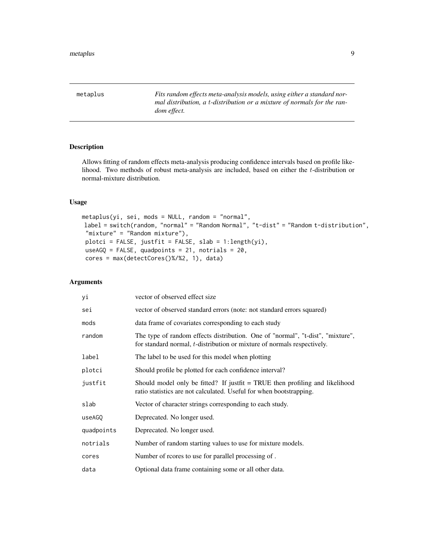<span id="page-8-0"></span>metaplus *Fits random effects meta-analysis models, using either a standard normal distribution, a* t*-distribution or a mixture of normals for the random effect.*

# Description

Allows fitting of random effects meta-analysis producing confidence intervals based on profile likelihood. Two methods of robust meta-analysis are included, based on either the  $t$ -distribution or normal-mixture distribution.

# Usage

```
metaplus(yi, sei, mods = NULL, random = "normal",
label = switch(random, "normal" = "Random Normal", "t-dist" = "Random t-distribution",
"mixture" = "Random mixture"),
plotci = FALSE, justfit = FALSE, slab = 1:length(yi),
useAGQ = FALSE, quadpoints = 21, notrials = 20,
cores = max(detectCores()%/%2, 1), data)
```
# Arguments

| уi         | vector of observed effect size                                                                                                                                    |
|------------|-------------------------------------------------------------------------------------------------------------------------------------------------------------------|
| sei        | vector of observed standard errors (note: not standard errors squared)                                                                                            |
| mods       | data frame of covariates corresponding to each study                                                                                                              |
| random     | The type of random effects distribution. One of "normal", "t-dist", "mixture",<br>for standard normal, <i>t</i> -distribution or mixture of normals respectively. |
| label      | The label to be used for this model when plotting                                                                                                                 |
| plotci     | Should profile be plotted for each confidence interval?                                                                                                           |
| justfit    | Should model only be fitted? If justfit $=$ TRUE then profiling and likelihood<br>ratio statistics are not calculated. Useful for when bootstrapping.             |
| slab       | Vector of character strings corresponding to each study.                                                                                                          |
| useAGO     | Deprecated. No longer used.                                                                                                                                       |
| quadpoints | Deprecated. No longer used.                                                                                                                                       |
| notrials   | Number of random starting values to use for mixture models.                                                                                                       |
| cores      | Number of reores to use for parallel processing of.                                                                                                               |
| data       | Optional data frame containing some or all other data.                                                                                                            |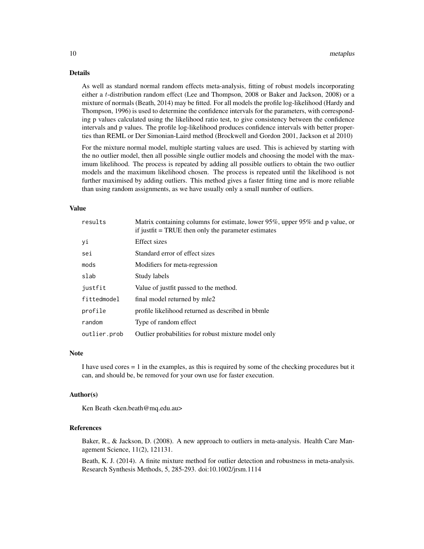#### Details

As well as standard normal random effects meta-analysis, fitting of robust models incorporating either a t-distribution random effect (Lee and Thompson, 2008 or Baker and Jackson, 2008) or a mixture of normals (Beath, 2014) may be fitted. For all models the profile log-likelihood (Hardy and Thompson, 1996) is used to determine the confidence intervals for the parameters, with corresponding p values calculated using the likelihood ratio test, to give consistency between the confidence intervals and p values. The profile log-likelihood produces confidence intervals with better properties than REML or Der Simonian-Laird method (Brockwell and Gordon 2001, Jackson et al 2010)

For the mixture normal model, multiple starting values are used. This is achieved by starting with the no outlier model, then all possible single outlier models and choosing the model with the maximum likelihood. The process is repeated by adding all possible outliers to obtain the two outlier models and the maximum likelihood chosen. The process is repeated until the likelihood is not further maximised by adding outliers. This method gives a faster fitting time and is more reliable than using random assignments, as we have usually only a small number of outliers.

#### Value

| results      | Matrix containing columns for estimate, lower 95%, upper 95% and p value, or<br>if justfit = TRUE then only the parameter estimates |
|--------------|-------------------------------------------------------------------------------------------------------------------------------------|
| уi           | Effect sizes                                                                                                                        |
| sei          | Standard error of effect sizes                                                                                                      |
| mods         | Modifiers for meta-regression                                                                                                       |
| slab         | Study labels                                                                                                                        |
| justfit      | Value of justfit passed to the method.                                                                                              |
| fittedmodel  | final model returned by mle2                                                                                                        |
| profile      | profile likelihood returned as described in bbmle                                                                                   |
| random       | Type of random effect                                                                                                               |
| outlier.prob | Outlier probabilities for robust mixture model only                                                                                 |

#### **Note**

I have used cores = 1 in the examples, as this is required by some of the checking procedures but it can, and should be, be removed for your own use for faster execution.

#### Author(s)

Ken Beath <ken.beath@mq.edu.au>

### References

Baker, R., & Jackson, D. (2008). A new approach to outliers in meta-analysis. Health Care Management Science, 11(2), 121131.

Beath, K. J. (2014). A finite mixture method for outlier detection and robustness in meta-analysis. Research Synthesis Methods, 5, 285-293. doi:10.1002/jrsm.1114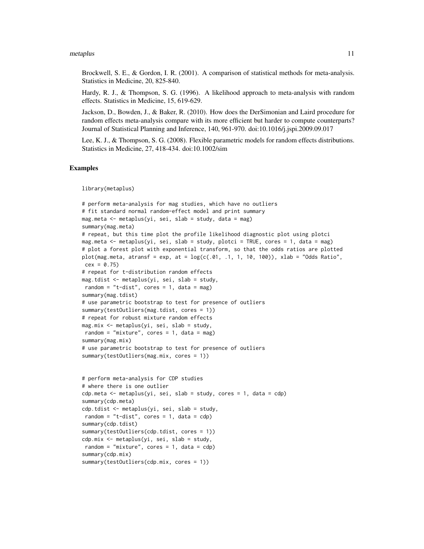#### metaplus and the contract of the contract of the contract of the contract of the contract of the contract of the contract of the contract of the contract of the contract of the contract of the contract of the contract of t

Brockwell, S. E., & Gordon, I. R. (2001). A comparison of statistical methods for meta-analysis. Statistics in Medicine, 20, 825-840.

Hardy, R. J., & Thompson, S. G. (1996). A likelihood approach to meta-analysis with random effects. Statistics in Medicine, 15, 619-629.

Jackson, D., Bowden, J., & Baker, R. (2010). How does the DerSimonian and Laird procedure for random effects meta-analysis compare with its more efficient but harder to compute counterparts? Journal of Statistical Planning and Inference, 140, 961-970. doi:10.1016/j.jspi.2009.09.017

Lee, K. J., & Thompson, S. G. (2008). Flexible parametric models for random effects distributions. Statistics in Medicine, 27, 418-434. doi:10.1002/sim

#### Examples

library(metaplus)

```
# perform meta-analysis for mag studies, which have no outliers
# fit standard normal random-effect model and print summary
mag.meta <- metaplus(yi, sei, slab = study, data = mag)
summary(mag.meta)
# repeat, but this time plot the profile likelihood diagnostic plot using plotci
mag.meta <- metaplus(yi, sei, slab = study, plotci = TRUE, cores = 1, data = mag)
# plot a forest plot with exponential transform, so that the odds ratios are plotted
plot(mag.meta, atransf = exp, at = log(c(.01, .1, 1, 10, 100)), xlab = "Odds Ratio",
cex = 0.75# repeat for t-distribution random effects
mag.tdist <- metaplus(yi, sei, slab = study,
random = "t-dist", cores = 1, data = mag)
summary(mag.tdist)
# use parametric bootstrap to test for presence of outliers
summary(testOutliers(mag.tdist, cores = 1))
# repeat for robust mixture random effects
mag.mix <- metaplus(yi, sei, slab = study,
random = "mixture", cores = 1, data = mag)
summary(mag.mix)
# use parametric bootstrap to test for presence of outliers
summary(testOutliers(mag.mix, cores = 1))
# perform meta-analysis for CDP studies
# where there is one outlier
cdp.meta \leq metaplus(yi, sei, slab = study, cores = 1, data = cdp)
summary(cdp.meta)
cdp.tdist <- metaplus(yi, sei, slab = study,
random = "t-dist", cores = 1, data = cdp)
summary(cdp.tdist)
summary(testOutliers(cdp.tdist, cores = 1))
cdp.mix <- metaplus(yi, sei, slab = study,
random = "mixture", cores = 1, data = cdp)
summary(cdp.mix)
summary(testOutliers(cdp.mix, cores = 1))
```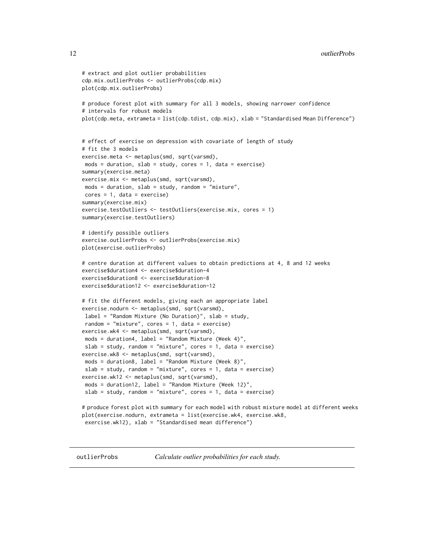```
# extract and plot outlier probabilities
cdp.mix.outlierProbs <- outlierProbs(cdp.mix)
plot(cdp.mix.outlierProbs)
# produce forest plot with summary for all 3 models, showing narrower confidence
# intervals for robust models
plot(cdp.meta, extrameta = list(cdp.tdist, cdp.mix), xlab = "Standardised Mean Difference")
# effect of exercise on depression with covariate of length of study
# fit the 3 models
exercise.meta <- metaplus(smd, sqrt(varsmd),
mods = duration, slab = study, cores = 1, data = exercise)
summary(exercise.meta)
exercise.mix <- metaplus(smd, sqrt(varsmd),
mods = duration, slab = study, random = "mixture",
cores = 1, data = exercise)summary(exercise.mix)
exercise.testOutliers <- testOutliers(exercise.mix, cores = 1)
summary(exercise.testOutliers)
# identify possible outliers
exercise.outlierProbs <- outlierProbs(exercise.mix)
plot(exercise.outlierProbs)
# centre duration at different values to obtain predictions at 4, 8 and 12 weeks
exercise$duration4 <- exercise$duration-4
exercise$duration8 <- exercise$duration-8
exercise$duration12 <- exercise$duration-12
# fit the different models, giving each an appropriate label
exercise.nodurn <- metaplus(smd, sqrt(varsmd),
label = "Random Mixture (No Duration)", slab = study,
random = "mixture", cores = 1, data = exercise)
exercise.wk4 <- metaplus(smd, sqrt(varsmd),
mods = duration4, label = "Random Mixture (Week 4)",
slab = study, random = "mixture", cores = 1, data = exercise)
exercise.wk8 <- metaplus(smd, sqrt(varsmd),
mods = duration8, label = "Random Mixture (Week 8)",
slab = study, random = "mixture", cores = 1, data = exercise)
exercise.wk12 <- metaplus(smd, sqrt(varsmd),
mods = duration12, label = "Random Mixture (Week 12)",
slab = study, random = "mixture", cores = 1, data = exercise)
# produce forest plot with summary for each model with robust mixture model at different weeks
plot(exercise.nodurn, extrameta = list(exercise.wk4, exercise.wk8,
exercise.wk12), xlab = "Standardised mean difference")
```
outlierProbs *Calculate outlier probabilities for each study.*

<span id="page-11-0"></span>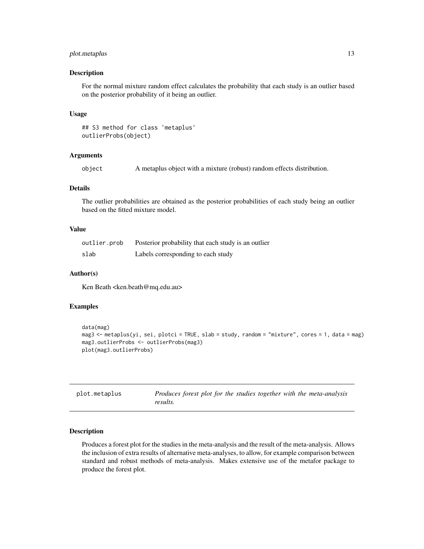# <span id="page-12-0"></span>plot.metaplus 13

#### Description

For the normal mixture random effect calculates the probability that each study is an outlier based on the posterior probability of it being an outlier.

#### Usage

```
## S3 method for class 'metaplus'
outlierProbs(object)
```
#### Arguments

object A metaplus object with a mixture (robust) random effects distribution.

# Details

The outlier probabilities are obtained as the posterior probabilities of each study being an outlier based on the fitted mixture model.

# Value

| outlier.prob | Posterior probability that each study is an outlier |
|--------------|-----------------------------------------------------|
| slab         | Labels corresponding to each study                  |

### Author(s)

Ken Beath <ken.beath@mq.edu.au>

#### Examples

```
data(mag)
mag3 <- metaplus(yi, sei, plotci = TRUE, slab = study, random = "mixture", cores = 1, data = mag)
mag3.outlierProbs <- outlierProbs(mag3)
plot(mag3.outlierProbs)
```

| plot.metaplus | Produces forest plot for the studies together with the meta-analysis |
|---------------|----------------------------------------------------------------------|
|               | results.                                                             |

# Description

Produces a forest plot for the studies in the meta-analysis and the result of the meta-analysis. Allows the inclusion of extra results of alternative meta-analyses, to allow, for example comparison between standard and robust methods of meta-analysis. Makes extensive use of the metafor package to produce the forest plot.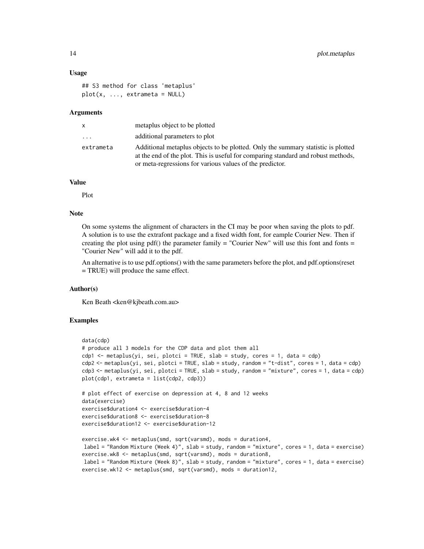#### Usage

```
## S3 method for class 'metaplus'
plot(x, ..., extrameta = NULL)
```
#### Arguments

| X                       | metaplus object to be plotted                                                                                                                                                                                                     |
|-------------------------|-----------------------------------------------------------------------------------------------------------------------------------------------------------------------------------------------------------------------------------|
| $\cdot$ $\cdot$ $\cdot$ | additional parameters to plot                                                                                                                                                                                                     |
| extrameta               | Additional metaplus objects to be plotted. Only the summary statistic is plotted<br>at the end of the plot. This is useful for comparing standard and robust methods,<br>or meta-regressions for various values of the predictor. |

# Value

Plot

#### Note

On some systems the alignment of characters in the CI may be poor when saving the plots to pdf. A solution is to use the extrafont package and a fixed width font, for eample Courier New. Then if creating the plot using  $pdf()$  the parameter family  $=$  "Courier New" will use this font and fonts  $=$ "Courier New" will add it to the pdf.

An alternative is to use pdf.options() with the same parameters before the plot, and pdf.options(reset = TRUE) will produce the same effect.

#### Author(s)

Ken Beath <ken@kjbeath.com.au>

```
data(cdp)
# produce all 3 models for the CDP data and plot them all
cdp1 <- metaplus(yi, sei, plotci = TRUE, slab = study, cores = 1, data = cdp)
cdp2 <- metaplus(yi, sei, plotci = TRUE, slab = study, random = "t-dist", cores = 1, data = cdp)
cdp3 <- metaplus(yi, sei, plotci = TRUE, slab = study, random = "mixture", cores = 1, data = cdp)
plot(cdp1, extrameta = list(cdp2, cdp3))
# plot effect of exercise on depression at 4, 8 and 12 weeks
data(exercise)
exercise$duration4 <- exercise$duration-4
exercise$duration8 <- exercise$duration-8
exercise$duration12 <- exercise$duration-12
exercise.wk4 <- metaplus(smd, sqrt(varsmd), mods = duration4,
label = "Random Mixture (Week 4)", slab = study, random = "mixture", cores = 1, data = exercise)
exercise.wk8 <- metaplus(smd, sqrt(varsmd), mods = duration8,
label = "Random Mixture (Week 8)", slab = study, random = "mixture", cores = 1, data = exercise)
exercise.wk12 <- metaplus(smd, sqrt(varsmd), mods = duration12,
```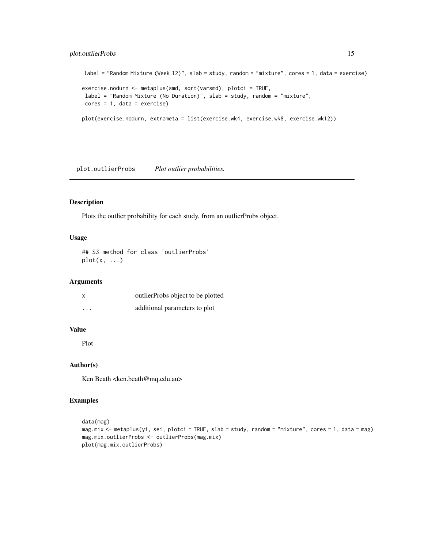# <span id="page-14-0"></span>plot.outlierProbs 15

```
label = "Random Mixture (Week 12)", slab = study, random = "mixture", cores = 1, data = exercise)
exercise.nodurn <- metaplus(smd, sqrt(varsmd), plotci = TRUE,
label = "Random Mixture (No Duration)", slab = study, random = "mixture",
cores = 1, data = exercise)plot(exercise.nodurn, extrameta = list(exercise.wk4, exercise.wk8, exercise.wk12))
```
plot.outlierProbs *Plot outlier probabilities.*

# Description

Plots the outlier probability for each study, from an outlierProbs object.

#### Usage

```
## S3 method for class 'outlierProbs'
plot(x, \ldots)
```
#### Arguments

| X        | outlierProbs object to be plotted |
|----------|-----------------------------------|
| $\cdots$ | additional parameters to plot     |

#### Value

Plot

# Author(s)

Ken Beath <ken.beath@mq.edu.au>

```
data(mag)
mag.mix <- metaplus(yi, sei, plotci = TRUE, slab = study, random = "mixture", cores = 1, data = mag)
mag.mix.outlierProbs <- outlierProbs(mag.mix)
plot(mag.mix.outlierProbs)
```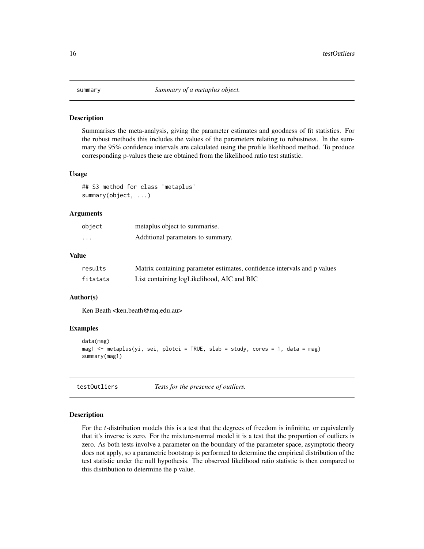<span id="page-15-0"></span>

Summarises the meta-analysis, giving the parameter estimates and goodness of fit statistics. For the robust methods this includes the values of the parameters relating to robustness. In the summary the 95% confidence intervals are calculated using the profile likelihood method. To produce corresponding p-values these are obtained from the likelihood ratio test statistic.

#### Usage

## S3 method for class 'metaplus' summary(object, ...)

#### Arguments

| object   | metaplus object to summarise.     |
|----------|-----------------------------------|
| $\cdots$ | Additional parameters to summary. |

# Value

| results  | Matrix containing parameter estimates, confidence intervals and p values |
|----------|--------------------------------------------------------------------------|
| fitstats | List containing logLikelihood, AIC and BIC                               |

# Author(s)

Ken Beath <ken.beath@mq.edu.au>

# Examples

```
data(mag)
mag1 <- metaplus(yi, sei, plotci = TRUE, slab = study, cores = 1, data = mag)
summary(mag1)
```
testOutliers *Tests for the presence of outliers.*

#### Description

For the t-distribution models this is a test that the degrees of freedom is infinitite, or equivalently that it's inverse is zero. For the mixture-normal model it is a test that the proportion of outliers is zero. As both tests involve a parameter on the boundary of the parameter space, asymptotic theory does not apply, so a parametric bootstrap is performed to determine the empirical distribution of the test statistic under the null hypothesis. The observed likelihood ratio statistic is then compared to this distribution to determine the p value.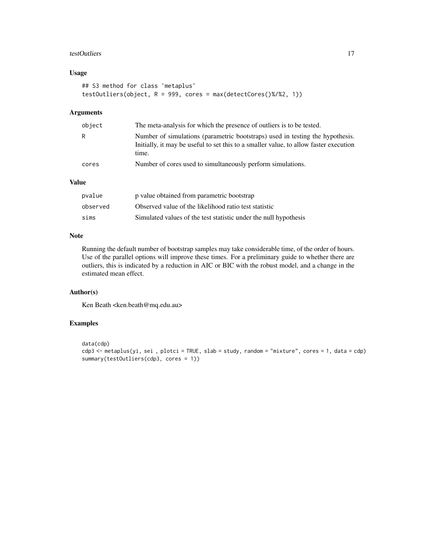#### testOutliers 17

# Usage

```
## S3 method for class 'metaplus'
testOutliers(object, R = 999, cores = max(detectCores()%/%2, 1))
```
# Arguments

| object | The meta-analysis for which the presence of outliers is to be tested.                                                                                                           |
|--------|---------------------------------------------------------------------------------------------------------------------------------------------------------------------------------|
| R.     | Number of simulations (parametric bootstraps) used in testing the hypothesis.<br>Initially, it may be useful to set this to a smaller value, to allow faster execution<br>time. |
| cores  | Number of cores used to simultaneously perform simulations.                                                                                                                     |

# Value

| pvalue   | p value obtained from parametric bootstrap                       |
|----------|------------------------------------------------------------------|
| observed | Observed value of the likelihood ratio test statistic            |
| sims     | Simulated values of the test statistic under the null hypothesis |

# Note

Running the default number of bootstrap samples may take considerable time, of the order of hours. Use of the parallel options will improve these times. For a preliminary guide to whether there are outliers, this is indicated by a reduction in AIC or BIC with the robust model, and a change in the estimated mean effect.

# Author(s)

Ken Beath <ken.beath@mq.edu.au>

```
data(cdp)
cdp3 <- metaplus(yi, sei , plotci = TRUE, slab = study, random = "mixture", cores = 1, data = cdp)
summary(testOutliers(cdp3, cores = 1))
```